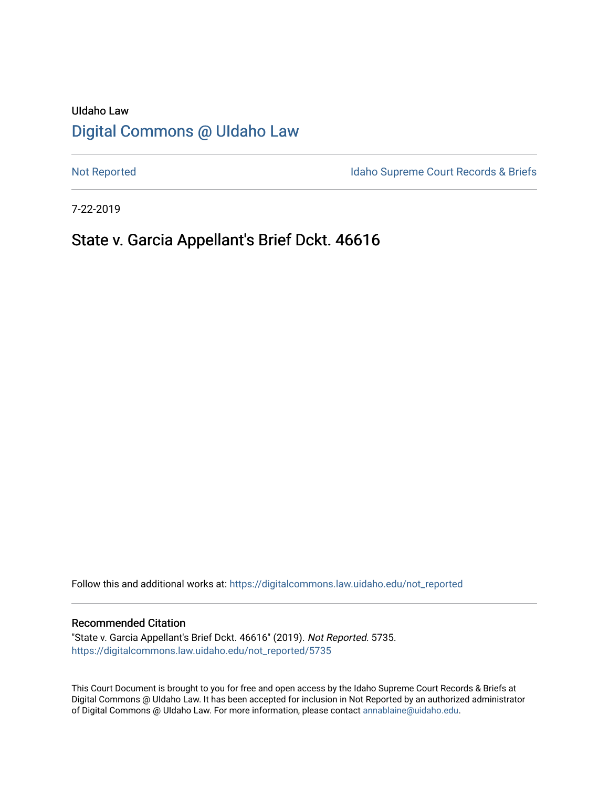# UIdaho Law [Digital Commons @ UIdaho Law](https://digitalcommons.law.uidaho.edu/)

[Not Reported](https://digitalcommons.law.uidaho.edu/not_reported) **Idaho Supreme Court Records & Briefs** 

7-22-2019

## State v. Garcia Appellant's Brief Dckt. 46616

Follow this and additional works at: [https://digitalcommons.law.uidaho.edu/not\\_reported](https://digitalcommons.law.uidaho.edu/not_reported?utm_source=digitalcommons.law.uidaho.edu%2Fnot_reported%2F5735&utm_medium=PDF&utm_campaign=PDFCoverPages) 

#### Recommended Citation

"State v. Garcia Appellant's Brief Dckt. 46616" (2019). Not Reported. 5735. [https://digitalcommons.law.uidaho.edu/not\\_reported/5735](https://digitalcommons.law.uidaho.edu/not_reported/5735?utm_source=digitalcommons.law.uidaho.edu%2Fnot_reported%2F5735&utm_medium=PDF&utm_campaign=PDFCoverPages)

This Court Document is brought to you for free and open access by the Idaho Supreme Court Records & Briefs at Digital Commons @ UIdaho Law. It has been accepted for inclusion in Not Reported by an authorized administrator of Digital Commons @ UIdaho Law. For more information, please contact [annablaine@uidaho.edu](mailto:annablaine@uidaho.edu).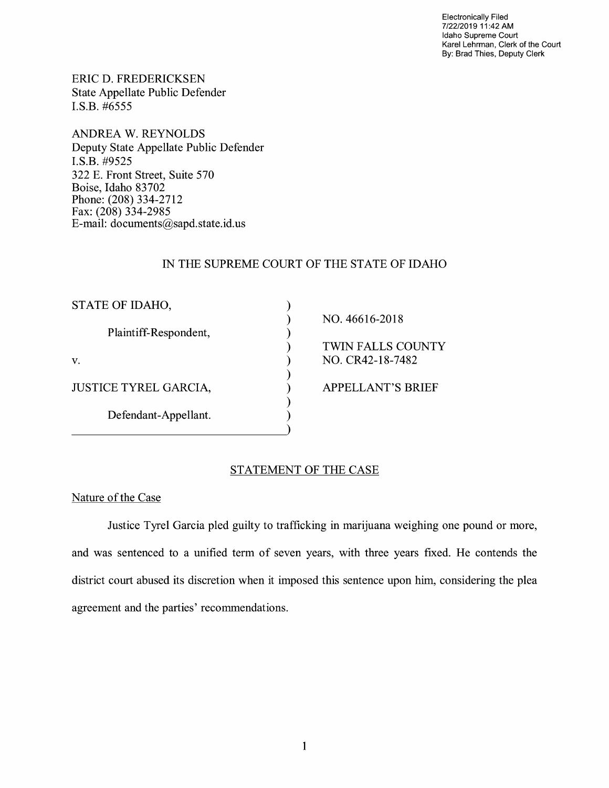Electronically Filed 7/22/2019 11 :42 AM Idaho Supreme Court Karel Lehrman, Clerk of the Court By: Brad Thies, Deputy Clerk

ERIC D. FREDERICKSEN State Appellate Public Defender I.S.B. #6555

**ANDREA W. REYNOLDS**  Deputy State Appellate Public Defender **I.S.B.** #9525 322 E. Front Street, Suite 570 Boise, Idaho 83702 Phone: (208) 334-2712 Fax: (208) 334-2985 E-mail: documents@sapd.state.id. us

## IN THE SUPREME COURT OF THE STATE OF IDAHO

| STATE OF IDAHO,              |                          |
|------------------------------|--------------------------|
|                              | NO. 46616-2018           |
| Plaintiff-Respondent,        |                          |
|                              | TWIN FALLS COUNTY        |
| V.                           | NO. CR42-18-7482         |
|                              |                          |
| <b>JUSTICE TYREL GARCIA,</b> | <b>APPELLANT'S BRIEF</b> |
|                              |                          |
| Defendant-Appellant.         |                          |
|                              |                          |

## STATEMENT OF THE CASE

#### Nature of the Case

Justice Tyrel Garcia pled guilty to trafficking in marijuana weighing one pound or more, and was sentenced to a unified term of seven years, with three years fixed. He contends the district court abused its discretion when it imposed this sentence upon him, considering the plea agreement and the parties' recommendations.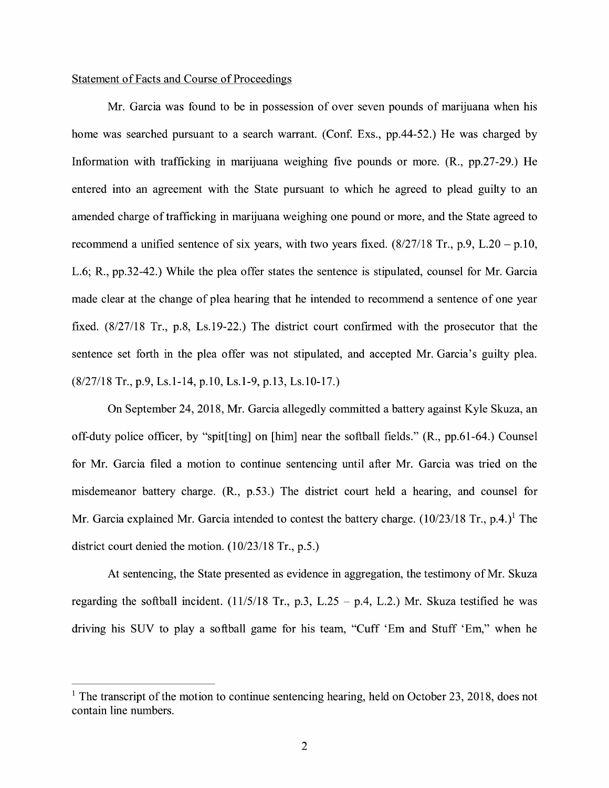#### Statement of Facts and Course of Proceedings

Mr. Garcia was found to be in possession of over seven pounds of marijuana when his home was searched pursuant to a search warrant. (Conf. Exs., pp.44-52.) He was charged by Information with trafficking in marijuana weighing five pounds or more. (R., pp.27-29.) He entered into an agreement with the State pursuant to which he agreed to plead guilty to an amended charge of trafficking in marijuana weighing one pound or more, and the State agreed to recommend a unified sentence of six years, with two years fixed.  $(8/27/18$  Tr., p.9, L.20 – p.10, L.6; R., pp.32-42.) While the plea offer states the sentence is stipulated, counsel for Mr. Garcia made clear at the change of plea hearing that he intended to recommend a sentence of one year fixed. (8/27/18 Tr., p.8, Ls.19-22.) The district court confirmed with the prosecutor that the sentence set forth in the plea offer was not stipulated, and accepted Mr. Garcia's guilty plea. (8/27/18 Tr., p.9, Ls.1-14, p.10, Ls.1-9, p.13, Ls.10-17.)

On September 24, 2018, Mr. Garcia allegedly committed a battery against Kyle Skuza, an off-duty police officer, by "spit[ting] on [him] near the softball fields." (R., pp.61-64.) Counsel for Mr. Garcia filed a motion to continue sentencing until after Mr. Garcia was tried on the misdemeanor battery charge. (R., p.53.) The district court held a hearing, and counsel for Mr. Garcia explained Mr. Garcia intended to contest the battery charge.  $(10/23/18 \text{ Tr.}, p.4.)^1$  The district court denied the motion. (10/23/18 Tr., p.5.)

At sentencing, the State presented as evidence in aggregation, the testimony of Mr. Skuza regarding the softball incident.  $(11/5/18$  Tr., p.3, L.25 - p.4, L.2.) Mr. Skuza testified he was driving his SUV to play a softball game for his team, "Cuff 'Em and Stuff 'Em," when he

<sup>&</sup>lt;sup>1</sup> The transcript of the motion to continue sentencing hearing, held on October 23, 2018, does not contain line numbers.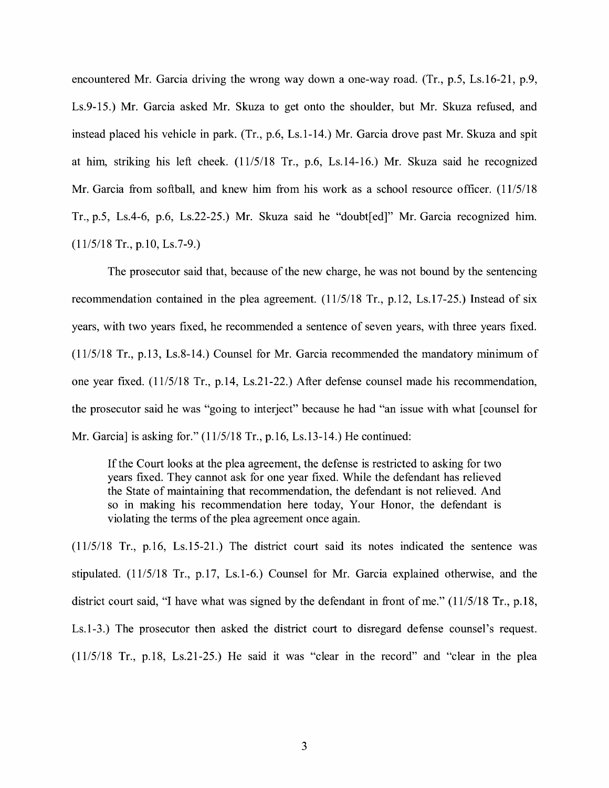encountered Mr. Garcia driving the wrong way down a one-way road. (Tr., p.5, Ls.16-21, p.9, Ls.9-15.) Mr. Garcia asked Mr. Skuza to get onto the shoulder, but Mr. Skuza refused, and instead placed his vehicle in park. (Tr., p.6, Ls.1-14.) Mr. Garcia drove past Mr. Skuza and spit at him, striking his left cheek. (11/5/18 Tr., p.6, Ls.14-16.) Mr. Skuza said he recognized Mr. Garcia from softball, and knew him from his work as a school resource officer. (11/5/18 Tr., p.5, Ls.4-6, p.6, Ls.22-25.) Mr. Skuza said he "doubt[ed]" Mr. Garcia recognized him. (11/5/18 Tr., p.10, Ls.7-9.)

The prosecutor said that, because of the new charge, he was not bound by the sentencing recommendation contained in the plea agreement. (11/5/18 Tr., p.12, Ls.17-25.) Instead of six years, with two years fixed, he recommended a sentence of seven years, with three years fixed. (11/5/18 Tr., p.13, Ls.8-14.) Counsel for Mr. Garcia recommended the mandatory minimum of one year fixed. (11/5/18 Tr., p.14, Ls.21-22.) After defense counsel made his recommendation, the prosecutor said he was "going to interject" because he had "an issue with what [ counsel for Mr. Garcia] is asking for." (11/5/18 Tr., p.16, Ls.13-14.) He continued:

If the Court looks at the plea agreement, the defense is restricted to asking for two years fixed. They cannot ask for one year fixed. While the defendant has relieved the State of maintaining that recommendation, the defendant is not relieved. And so in making his recommendation here today, Your Honor, the defendant is violating the terms of the plea agreement once again.

(11/5/18 Tr., p.16, Ls.15-21.) The district court said its notes indicated the sentence was stipulated. (11/5/18 Tr., p.17, Ls.1-6.) Counsel for Mr. Garcia explained otherwise, and the district court said, "I have what was signed by the defendant in front of me." (11/5/18 Tr., p.18, Ls.1-3.) The prosecutor then asked the district court to disregard defense counsel's request. (11/5/18 Tr., p.18, Ls.21-25.) He said it was "clear in the record" and "clear in the plea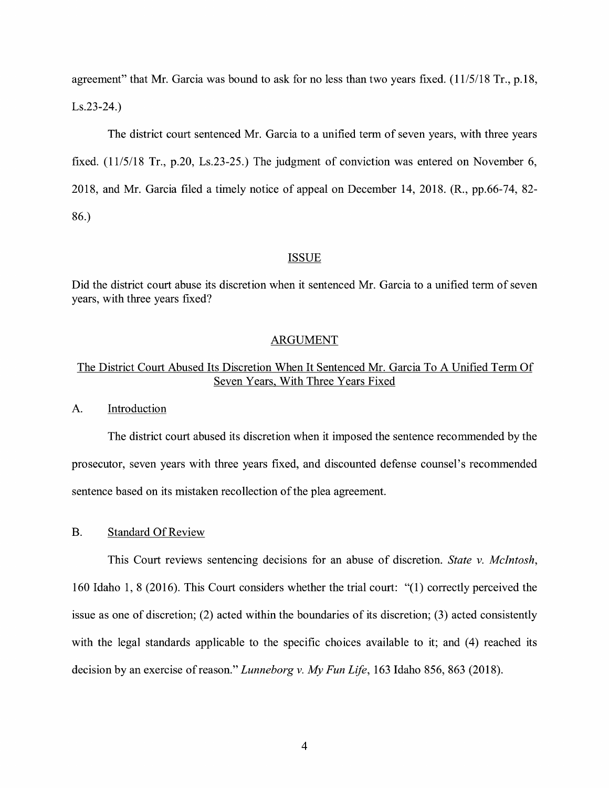agreement" that Mr. Garcia was bound to ask for no less than two years fixed. (11/5/18 Tr., p.18, Ls.23-24.)

The district court sentenced Mr. Garcia to a unified term of seven years, with three years fixed. (11/5/18 Tr., p.20, Ls.23-25.) The judgment of conviction was entered on November 6, 2018, and Mr. Garcia filed a timely notice of appeal on December 14, 2018. (R., pp.66-74, 82- 86.)

#### **ISSUE**

Did the district court abuse its discretion when it sentenced Mr. Garcia to a unified term of seven years, with three years fixed?

### ARGUMENT

## The District Court Abused Its Discretion When It Sentenced Mr. Garcia To A Unified Term Of Seven Years, With Three Years Fixed

A. Introduction

The district court abused its discretion when it imposed the sentence recommended by the prosecutor, seven years with three years fixed, and discounted defense counsel's recommended sentence based on its mistaken recollection of the plea agreement.

#### B. Standard Of Review

This Court reviews sentencing decisions for an abuse of discretion. *State v. McIntosh,*  160 Idaho 1, 8 (2016). This Court considers whether the trial court: "(1) correctly perceived the issue as one of discretion; (2) acted within the boundaries of its discretion; (3) acted consistently with the legal standards applicable to the specific choices available to it; and (4) reached its decision by an exercise ofreason." *Lunneborg v. My Fun Life,* 163 Idaho 856, 863 (2018).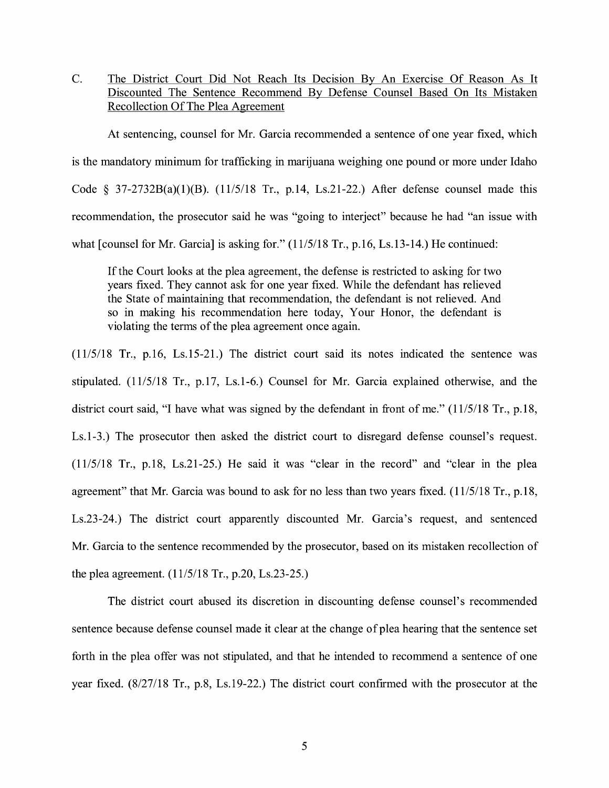C. The District Court Did Not Reach Its Decision By An Exercise Of Reason As It Discounted The Sentence Recommend By Defense Counsel Based On Its Mistaken Recollection Of The Plea Agreement

At sentencing, counsel for Mr. Garcia recommended a sentence of one year fixed, which is the mandatory minimum for trafficking in marijuana weighing one pound or more under Idaho Code § 37-2732B(a)(1)(B).  $(11/5/18$  Tr., p.14, Ls.21-22.) After defense counsel made this recommendation, the prosecutor said he was "going to interject" because he had "an issue with what [counsel for Mr. Garcia] is asking for." (11/5/18 Tr., p.16, Ls.13-14.) He continued:

If the Court looks at the plea agreement, the defense is restricted to asking for two years fixed. They cannot ask for one year fixed. While the defendant has relieved the State of maintaining that recommendation, the defendant is not relieved. And so in making his recommendation here today, Your Honor, the defendant is violating the terms of the plea agreement once again.

(11/5/18 Tr., p.16, Ls.15-21.) The district court said its notes indicated the sentence was stipulated. (11/5/18 Tr., p.17, Ls.1-6.) Counsel for Mr. Garcia explained otherwise, and the district court said, "I have what was signed by the defendant in front of me." (11/5/18 Tr., p.18, Ls.1-3.) The prosecutor then asked the district court to disregard defense counsel's request. (11/5/18 Tr., p.18, Ls.21-25.) He said it was "clear in the record" and "clear in the plea agreement" that Mr. Garcia was bound to ask for no less than two years fixed. (11/5/18 Tr., p.18, Ls.23-24.) The district court apparently discounted Mr. Garcia's request, and sentenced Mr. Garcia to the sentence recommended by the prosecutor, based on its mistaken recollection of the plea agreement. (11/5/18 Tr., p.20, Ls.23-25.)

The district court abused its discretion in discounting defense counsel's recommended sentence because defense counsel made it clear at the change of plea hearing that the sentence set forth in the plea offer was not stipulated, and that he intended to recommend a sentence of one year fixed. (8/27/18 Tr., p.8, Ls.19-22.) The district court confirmed with the prosecutor at the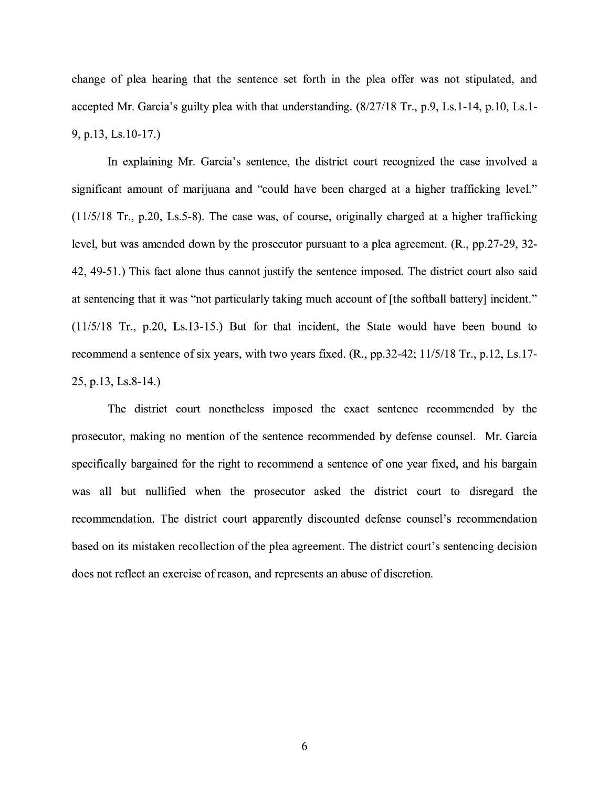change of plea hearing that the sentence set forth in the plea offer was not stipulated, and accepted Mr. Garcia's guilty plea with that understanding. (8/27/18 Tr., p.9, Ls.1-14, p.10, Ls.1- 9, p.13, Ls.10-17.)

In explaining Mr. Garcia's sentence, the district court recognized the case involved a significant amount of marijuana and "could have been charged at a higher trafficking level." (11/5/18 Tr., p.20, Ls.5-8). The case was, of course, originally charged at a higher trafficking level, but was amended down by the prosecutor pursuant to a plea agreement. (R., pp.27-29, 32- 42, 49-51.) This fact alone thus cannot justify the sentence imposed. The district court also said at sentencing that it was "not particularly taking much account of [the softball battery] incident." (11/5/18 Tr., p.20, Ls.13-15.) But for that incident, the State would have been bound to recommend a sentence of six years, with two years fixed. (R., pp.32-42; 11/5/18 Tr., p.12, Ls.17- 25, p.13, Ls.8-14.)

The district court nonetheless imposed the exact sentence recommended by the prosecutor, making no mention of the sentence recommended by defense counsel. Mr. Garcia specifically bargained for the right to recommend a sentence of one year fixed, and his bargain was all but nullified when the prosecutor asked the district court to disregard the recommendation. The district court apparently discounted defense counsel's recommendation based on its mistaken recollection of the plea agreement. The district court's sentencing decision does not reflect an exercise of reason, and represents an abuse of discretion.